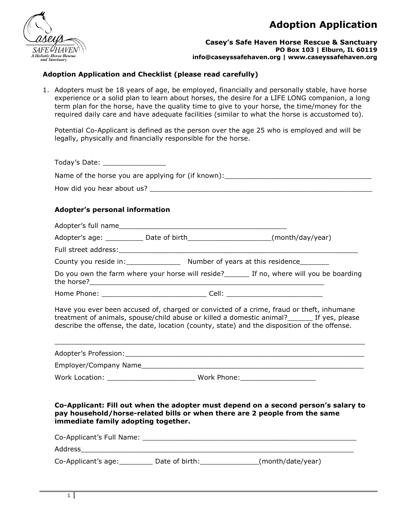

**Casey's Safe Haven Horse Rescue & Sanctuary PO Box 103 | Elburn, IL 60119 info@caseyssafehaven.org | www.caseyssafehaven.org**

### **Adoption Application and Checklist (please read carefully)**

1. Adopters must be 18 years of age, be employed, financially and personally stable, have horse experience or a solid plan to learn about horses, the desire for a LIFE LONG companion, a long term plan for the horse, have the quality time to give to your horse, the time/money for the required daily care and have adequate facilities (similar to what the horse is accustomed to).

Potential Co-Applicant is defined as the person over the age 25 who is employed and will be legally, physically and financially responsible for the horse.

| Adopter's personal information                          |                                                                                  |                                                                                                                                                                                         |  |  |  |  |  |
|---------------------------------------------------------|----------------------------------------------------------------------------------|-----------------------------------------------------------------------------------------------------------------------------------------------------------------------------------------|--|--|--|--|--|
|                                                         |                                                                                  |                                                                                                                                                                                         |  |  |  |  |  |
|                                                         | Adopter's age: ____________ Date of birth_______________________(month/day/year) |                                                                                                                                                                                         |  |  |  |  |  |
|                                                         |                                                                                  |                                                                                                                                                                                         |  |  |  |  |  |
| County you reside in: Number of years at this residence |                                                                                  |                                                                                                                                                                                         |  |  |  |  |  |
|                                                         |                                                                                  | Do you own the farm where your horse will reside? If no, where will you be boarding                                                                                                     |  |  |  |  |  |
|                                                         |                                                                                  |                                                                                                                                                                                         |  |  |  |  |  |
|                                                         |                                                                                  | treatment of animals, spouse/child abuse or killed a domestic animal?<br>If yes, please<br>describe the offense, the date, location (county, state) and the disposition of the offense. |  |  |  |  |  |
|                                                         |                                                                                  |                                                                                                                                                                                         |  |  |  |  |  |
|                                                         |                                                                                  |                                                                                                                                                                                         |  |  |  |  |  |
| immediate family adopting together.                     | pay household/horse-related bills or when there are 2 people from the same       | Co-Applicant: Fill out when the adopter must depend on a second person's salary to                                                                                                      |  |  |  |  |  |
|                                                         |                                                                                  |                                                                                                                                                                                         |  |  |  |  |  |
|                                                         |                                                                                  |                                                                                                                                                                                         |  |  |  |  |  |
|                                                         | Co-Applicant's age: _________ Date of birth: ______________(month/date/year)     |                                                                                                                                                                                         |  |  |  |  |  |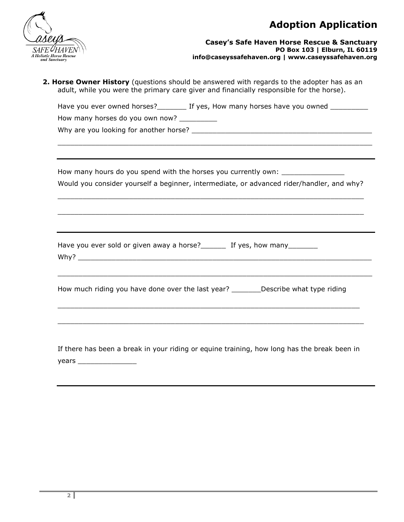

#### **Casey's Safe Haven Horse Rescue & Sanctuary PO Box 103 | Elburn, IL 60119 info@caseyssafehaven.org | www.caseyssafehaven.org**

|                                 | 2. Horse Owner History (questions should be answered with regards to the adopter has as an<br>adult, while you were the primary care giver and financially responsible for the horse). |  |  |  |  |
|---------------------------------|----------------------------------------------------------------------------------------------------------------------------------------------------------------------------------------|--|--|--|--|
|                                 |                                                                                                                                                                                        |  |  |  |  |
| How many horses do you own now? |                                                                                                                                                                                        |  |  |  |  |
|                                 |                                                                                                                                                                                        |  |  |  |  |
|                                 | How many hours do you spend with the horses you currently own: _________________                                                                                                       |  |  |  |  |
|                                 | Would you consider yourself a beginner, intermediate, or advanced rider/handler, and why?                                                                                              |  |  |  |  |
|                                 |                                                                                                                                                                                        |  |  |  |  |
|                                 | ,我们也不能在这里的时候,我们也不能在这里的时候,我们也不能在这里的时候,我们也不能会在这里的时候,我们也不能会在这里的时候,我们也不能会在这里的时候,我们也不能                                                                                                      |  |  |  |  |
|                                 | Have you ever sold or given away a horse? The Marson own many the Have Marson Have Marson and Have Marson Have                                                                         |  |  |  |  |
|                                 |                                                                                                                                                                                        |  |  |  |  |
|                                 | How much riding you have done over the last year? _________Describe what type riding                                                                                                   |  |  |  |  |
|                                 |                                                                                                                                                                                        |  |  |  |  |
|                                 |                                                                                                                                                                                        |  |  |  |  |

years \_\_\_\_\_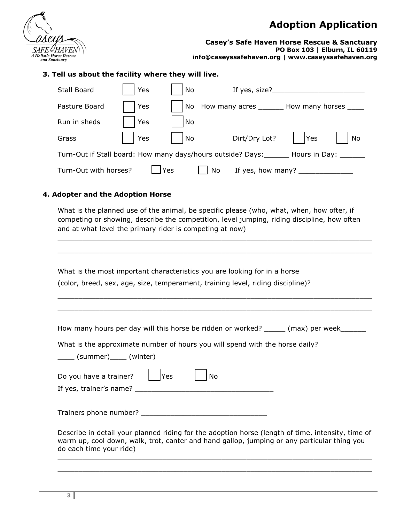

**Casey's Safe Haven Horse Rescue & Sanctuary PO Box 103 | Elburn, IL 60119 info@caseyssafehaven.org | www.caseyssafehaven.org**

### **3. Tell us about the facility where they will live.**

| Stall Board                                                                                                                                           | Yes        | No   | If yes, size?___                               |           |  |  |  |
|-------------------------------------------------------------------------------------------------------------------------------------------------------|------------|------|------------------------------------------------|-----------|--|--|--|
| Pasture Board                                                                                                                                         | <b>Yes</b> |      | No How many acres _______ How many horses ____ |           |  |  |  |
| Run in sheds                                                                                                                                          | Yes        | l No |                                                |           |  |  |  |
| Grass                                                                                                                                                 | Yes        | No   | Dirt/Dry Lot?                                  | Yes<br>No |  |  |  |
| Turn-Out if Stall board: How many days/hours outside? Days:<br>Hours in Day: ______                                                                   |            |      |                                                |           |  |  |  |
| <b>Yes</b><br>Turn-Out with horses?<br>If yes, how many? $\sqrt{2\pi}$ and $\sqrt{2\pi}$ and $\sqrt{2\pi}$ and $\sqrt{2\pi}$ and $\sqrt{2\pi}$<br>No. |            |      |                                                |           |  |  |  |

#### **4. Adopter and the Adoption Horse**

What is the planned use of the animal, be specific please (who, what, when, how ofter, if competing or showing, describe the competition, level jumping, riding discipline, how often and at what level the primary rider is competing at now)

\_\_\_\_\_\_\_\_\_\_\_\_\_\_\_\_\_\_\_\_\_\_\_\_\_\_\_\_\_\_\_\_\_\_\_\_\_\_\_\_\_\_\_\_\_\_\_\_\_\_\_\_\_\_\_\_\_\_\_\_\_\_\_\_\_\_\_\_\_\_\_\_\_\_\_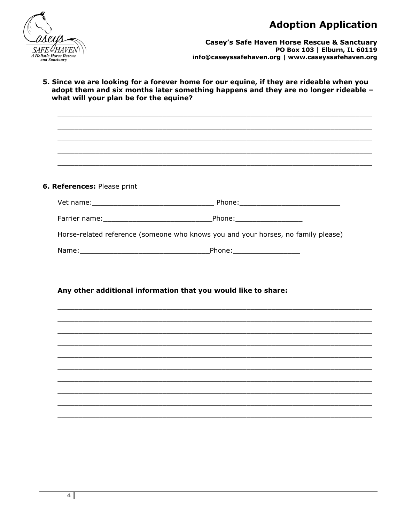

**Casey's Safe Haven Horse Rescue & Sanctuary** PO Box 103 | Elburn, IL 60119 info@caseyssafehaven.org | www.caseyssafehaven.org

5. Since we are looking for a forever home for our equine, if they are rideable when you adopt them and six months later something happens and they are no longer rideable what will your plan be for the equine?

6. References: Please print Farrier name: None of Phone: Note: Note: Note: Note: Note: Note: Note: Note: Note: Note: Note: Note: Note: Note: Note: Note: Note: Note: Note: Note: Note: Note: Note: Note: Note: Note: Note: Note: Note: Note: Note: Note: N Horse-related reference (someone who knows you and your horses, no family please) 

#### Any other additional information that you would like to share: